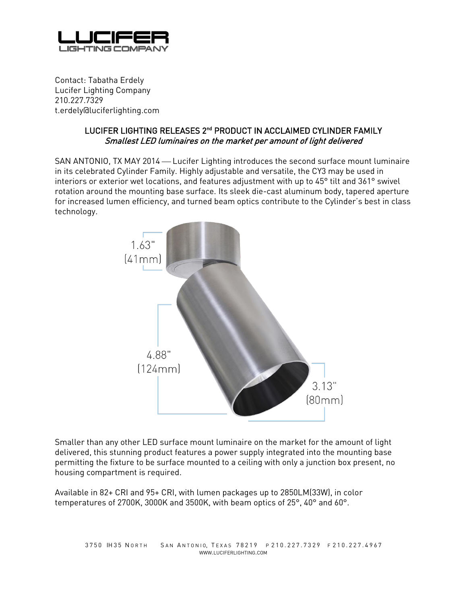

Contact: Tabatha Erdely Lucifer Lighting Company 210.227.7329 t.erdely@luciferlighting.com

## LUCIFER LIGHTING RELEASES 2nd PRODUCT IN ACCLAIMED CYLINDER FAMILY Smallest LED luminaires on the market per amount of light delivered

SAN ANTONIO, TX MAY 2014 – Lucifer Lighting introduces the second surface mount luminaire in its celebrated Cylinder Family. Highly adjustable and versatile, the CY3 may be used in interiors or exterior wet locations, and features adjustment with up to 45° tilt and 361° swivel rotation around the mounting base surface. Its sleek die-cast aluminum body, tapered aperture for increased lumen efficiency, and turned beam optics contribute to the Cylinder's best in class technology.



Smaller than any other LED surface mount luminaire on the market for the amount of light delivered, this stunning product features a power supply integrated into the mounting base permitting the fixture to be surface mounted to a ceiling with only a junction box present, no housing compartment is required.

Available in 82+ CRI and 95+ CRI, with lumen packages up to 2850LM(33W), in color temperatures of 2700K, 3000K and 3500K, with beam optics of 25°, 40° and 60°.